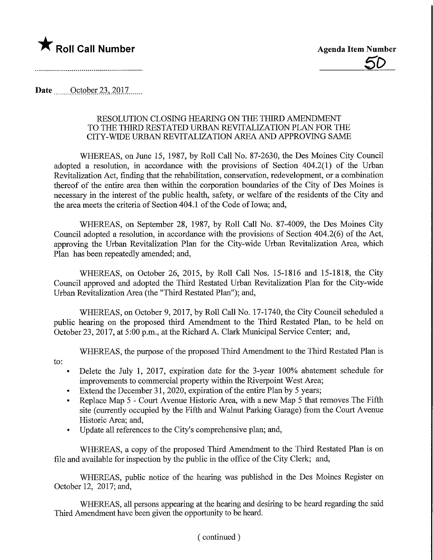

## **Date** ....October 23, 2017

## RESOLUTION CLOSING HEARING ON THE THIRD AMENDMENT TO THE THIRD RESTATED URBAN REVITALIZATION PLAN FOR THE CITY-WIDE URBAN REVITALIZATION AREA AND APPROVING SAME

WHEREAS, on June 15, 1987, by Roll Call No. 87-2630, the Des Moines City Council adopted a resolution, in accordance with the provisions of Section 404.2(1) of the Urban Revitalization Act, finding that the rehabilitation, conservation, redevelopment, or a combination thereof of the entire area then within the corporation boundaries of the City of Des Moines is necessary in the interest of the public health, safety, or welfare of the residents of the City and the area meets the criteria of Section 404.1 of the Code of Iowa; and,

WHEREAS, on September 28, 1987, by Roll Call No. 87-4009, the Des Moines City Council adopted a resolution, in accordance with the provisions of Section 404.2(6) of the Act, approving the Urban Revitalization Plan for the City-wide Urban Revitalization Area, which Plan has been repeatedly amended; and,

WHEREAS, on October 26, 2015, by Roll Call Nos. 15-1816 and 15-1818, the City Council approved and adopted the Third Restated Urban Revitalization Plan for the City-wide Urban Revitalization Area (the "Third Restated Plan"); and,

WHEREAS, on October 9, 2017, by Roll Call No. 17-1740, the City Council scheduled a public hearing on the proposed third Amendment to the Third Restated Plan, to be held on October 23, 2017, at 5:00 p.m., at the Richard A. Clark Municipal Service Center; and,

WHEREAS, the purpose of the proposed Third Amendment to the Third Restated Plan is

- to:
- Delete the July 1, 2017, expiration date for the 3-year 100% abatement schedule for improvements to commercial property within the Riverpoint West Area;
- Extend the December 31, 2020, expiration of the entire Plan by 5 years;
- Replace Map 5 Court Avenue Historic Area, with a new Map 5 that removes The Fifth site (currently occupied by the Fifth and Walnut Parking Garage) from the Court Avenue Historic Area; and,
- Update all references to the City's comprehensive plan; and,

WHEREAS, a copy of the proposed Third Amendment to the Third Restated Plan is on file and available for inspection by the public in the office of the City Clerk; and,

WHEREAS, public notice of the hearing was published in the Des Moines Register on October 12, 2017; and,

WHEREAS, all persons appearing at the hearing and desiring to be heard regarding the said Third Amendment have been given the opportunity to be heard.